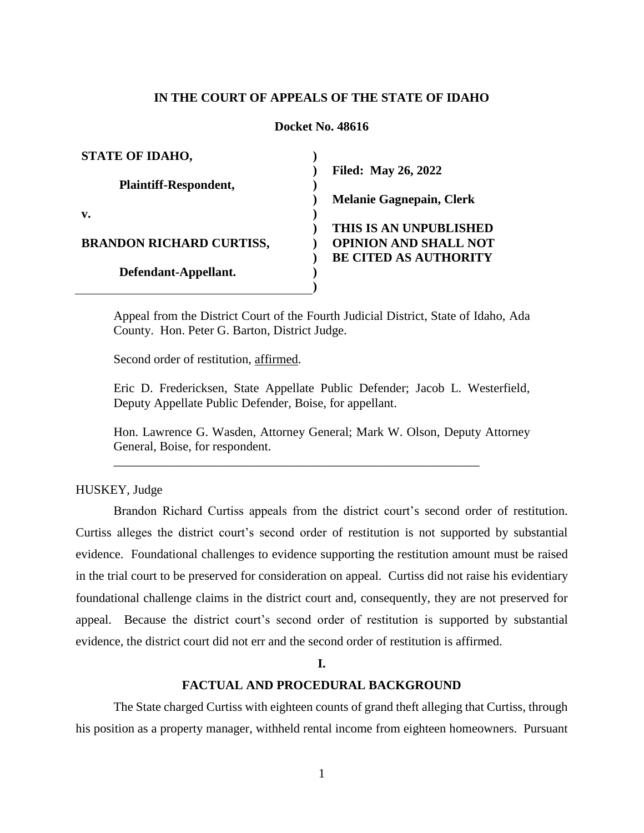## **IN THE COURT OF APPEALS OF THE STATE OF IDAHO**

#### **Docket No. 48616**

| <b>STATE OF IDAHO,</b>          |                                 |
|---------------------------------|---------------------------------|
|                                 | <b>Filed: May 26, 2022</b>      |
| <b>Plaintiff-Respondent,</b>    |                                 |
|                                 | <b>Melanie Gagnepain, Clerk</b> |
| v.                              |                                 |
|                                 | THIS IS AN UNPUBLISHED          |
| <b>BRANDON RICHARD CURTISS,</b> | <b>OPINION AND SHALL NOT</b>    |
|                                 | <b>BE CITED AS AUTHORITY</b>    |
| Defendant-Appellant.            |                                 |
|                                 |                                 |

Appeal from the District Court of the Fourth Judicial District, State of Idaho, Ada County. Hon. Peter G. Barton, District Judge.

Second order of restitution, affirmed.

Eric D. Fredericksen, State Appellate Public Defender; Jacob L. Westerfield, Deputy Appellate Public Defender, Boise, for appellant.

Hon. Lawrence G. Wasden, Attorney General; Mark W. Olson, Deputy Attorney General, Boise, for respondent.

\_\_\_\_\_\_\_\_\_\_\_\_\_\_\_\_\_\_\_\_\_\_\_\_\_\_\_\_\_\_\_\_\_\_\_\_\_\_\_\_\_\_\_\_\_\_\_\_\_\_\_\_\_\_\_\_\_\_

HUSKEY, Judge

Brandon Richard Curtiss appeals from the district court's second order of restitution. Curtiss alleges the district court's second order of restitution is not supported by substantial evidence. Foundational challenges to evidence supporting the restitution amount must be raised in the trial court to be preserved for consideration on appeal. Curtiss did not raise his evidentiary foundational challenge claims in the district court and, consequently, they are not preserved for appeal. Because the district court's second order of restitution is supported by substantial evidence, the district court did not err and the second order of restitution is affirmed.

**I.**

## **FACTUAL AND PROCEDURAL BACKGROUND**

The State charged Curtiss with eighteen counts of grand theft alleging that Curtiss, through his position as a property manager, withheld rental income from eighteen homeowners. Pursuant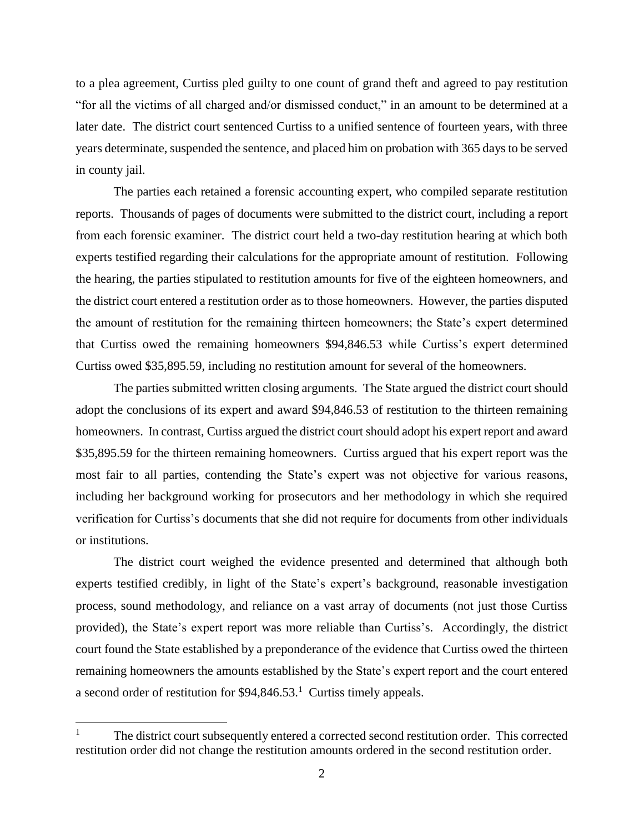to a plea agreement, Curtiss pled guilty to one count of grand theft and agreed to pay restitution "for all the victims of all charged and/or dismissed conduct," in an amount to be determined at a later date. The district court sentenced Curtiss to a unified sentence of fourteen years, with three years determinate, suspended the sentence, and placed him on probation with 365 days to be served in county jail.

The parties each retained a forensic accounting expert, who compiled separate restitution reports. Thousands of pages of documents were submitted to the district court, including a report from each forensic examiner. The district court held a two-day restitution hearing at which both experts testified regarding their calculations for the appropriate amount of restitution. Following the hearing, the parties stipulated to restitution amounts for five of the eighteen homeowners, and the district court entered a restitution order as to those homeowners. However, the parties disputed the amount of restitution for the remaining thirteen homeowners; the State's expert determined that Curtiss owed the remaining homeowners \$94,846.53 while Curtiss's expert determined Curtiss owed \$35,895.59, including no restitution amount for several of the homeowners.

The parties submitted written closing arguments. The State argued the district court should adopt the conclusions of its expert and award \$94,846.53 of restitution to the thirteen remaining homeowners. In contrast, Curtiss argued the district court should adopt his expert report and award \$35,895.59 for the thirteen remaining homeowners. Curtiss argued that his expert report was the most fair to all parties, contending the State's expert was not objective for various reasons, including her background working for prosecutors and her methodology in which she required verification for Curtiss's documents that she did not require for documents from other individuals or institutions.

The district court weighed the evidence presented and determined that although both experts testified credibly, in light of the State's expert's background, reasonable investigation process, sound methodology, and reliance on a vast array of documents (not just those Curtiss provided), the State's expert report was more reliable than Curtiss's. Accordingly, the district court found the State established by a preponderance of the evidence that Curtiss owed the thirteen remaining homeowners the amounts established by the State's expert report and the court entered a second order of restitution for  $$94,846.53$ <sup>1</sup> Curtiss timely appeals.

 $\overline{a}$ 

<sup>1</sup> The district court subsequently entered a corrected second restitution order. This corrected restitution order did not change the restitution amounts ordered in the second restitution order.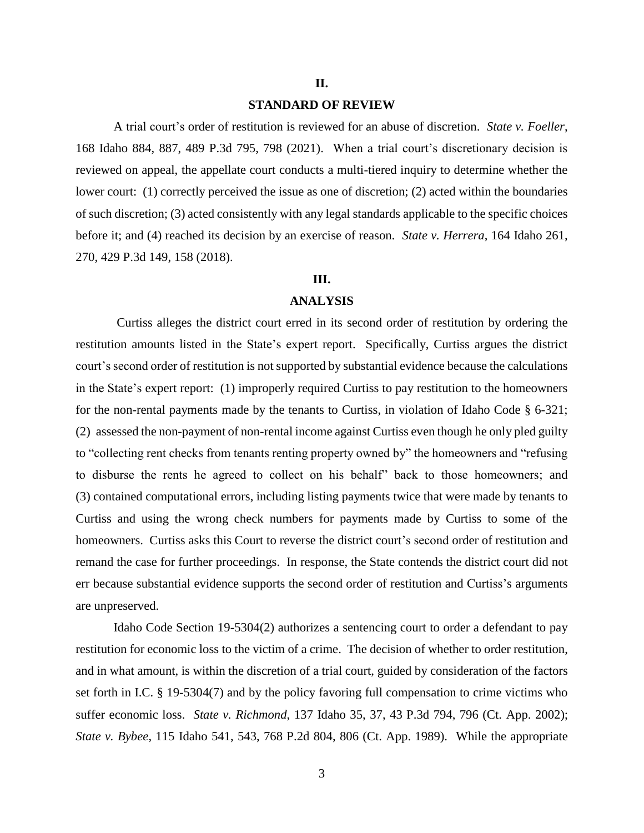## **II.**

## **STANDARD OF REVIEW**

A trial court's order of restitution is reviewed for an abuse of discretion. *State v. Foeller*, 168 Idaho 884, 887, 489 P.3d 795, 798 (2021). When a trial court's discretionary decision is reviewed on appeal, the appellate court conducts a multi-tiered inquiry to determine whether the lower court: (1) correctly perceived the issue as one of discretion; (2) acted within the boundaries of such discretion; (3) acted consistently with any legal standards applicable to the specific choices before it; and (4) reached its decision by an exercise of reason. *State v. Herrera*, 164 Idaho 261, 270, 429 P.3d 149, 158 (2018).

## **III.**

#### **ANALYSIS**

Curtiss alleges the district court erred in its second order of restitution by ordering the restitution amounts listed in the State's expert report. Specifically, Curtiss argues the district court's second order of restitution is not supported by substantial evidence because the calculations in the State's expert report: (1) improperly required Curtiss to pay restitution to the homeowners for the non-rental payments made by the tenants to Curtiss, in violation of Idaho Code § 6-321; (2) assessed the non-payment of non-rental income against Curtiss even though he only pled guilty to "collecting rent checks from tenants renting property owned by" the homeowners and "refusing to disburse the rents he agreed to collect on his behalf" back to those homeowners; and (3) contained computational errors, including listing payments twice that were made by tenants to Curtiss and using the wrong check numbers for payments made by Curtiss to some of the homeowners. Curtiss asks this Court to reverse the district court's second order of restitution and remand the case for further proceedings. In response, the State contends the district court did not err because substantial evidence supports the second order of restitution and Curtiss's arguments are unpreserved.

Idaho Code Section 19-5304(2) authorizes a sentencing court to order a defendant to pay restitution for economic loss to the victim of a crime. The decision of whether to order restitution, and in what amount, is within the discretion of a trial court, guided by consideration of the factors set forth in I.C. § 19-5304(7) and by the policy favoring full compensation to crime victims who suffer economic loss. *State v. Richmond*, 137 Idaho 35, 37, 43 P.3d 794, 796 (Ct. App. 2002); *State v. Bybee*, 115 Idaho 541, 543, 768 P.2d 804, 806 (Ct. App. 1989). While the appropriate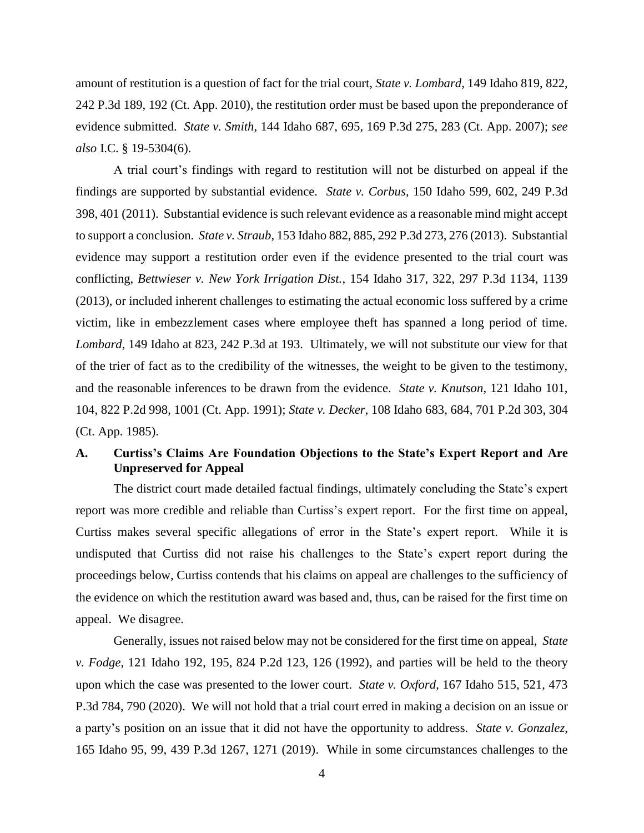amount of restitution is a question of fact for the trial court, *State v. Lombard*, 149 Idaho 819, 822, 242 P.3d 189, 192 (Ct. App. 2010), the restitution order must be based upon the preponderance of evidence submitted. *State v. Smith*, 144 Idaho 687, 695, 169 P.3d 275, 283 (Ct. App. 2007); *see also* I.C. § 19-5304(6).

A trial court's findings with regard to restitution will not be disturbed on appeal if the findings are supported by substantial evidence. *State v. Corbus*, 150 Idaho 599, 602, 249 P.3d 398, 401 (2011). Substantial evidence is such relevant evidence as a reasonable mind might accept to support a conclusion. *State v. Straub*, 153 Idaho 882, 885, 292 P.3d 273, 276 (2013). Substantial evidence may support a restitution order even if the evidence presented to the trial court was conflicting, *Bettwieser v. New York Irrigation Dist.*, 154 Idaho 317, 322, 297 P.3d 1134, 1139 (2013), or included inherent challenges to estimating the actual economic loss suffered by a crime victim, like in embezzlement cases where employee theft has spanned a long period of time*. Lombard*, 149 Idaho at 823, 242 P.3d at 193. Ultimately, we will not substitute our view for that of the trier of fact as to the credibility of the witnesses, the weight to be given to the testimony, and the reasonable inferences to be drawn from the evidence. *State v. Knutson*, 121 Idaho 101, 104, 822 P.2d 998, 1001 (Ct. App. 1991); *State v. Decker*, 108 Idaho 683, 684, 701 P.2d 303, 304 (Ct. App. 1985).

# **A. Curtiss's Claims Are Foundation Objections to the State's Expert Report and Are Unpreserved for Appeal**

The district court made detailed factual findings, ultimately concluding the State's expert report was more credible and reliable than Curtiss's expert report. For the first time on appeal, Curtiss makes several specific allegations of error in the State's expert report. While it is undisputed that Curtiss did not raise his challenges to the State's expert report during the proceedings below, Curtiss contends that his claims on appeal are challenges to the sufficiency of the evidence on which the restitution award was based and, thus, can be raised for the first time on appeal. We disagree.

Generally, issues not raised below may not be considered for the first time on appeal, *State v. Fodge*, 121 Idaho 192, 195, 824 P.2d 123, 126 (1992), and parties will be held to the theory upon which the case was presented to the lower court. *State v. Oxford*, 167 Idaho 515, 521, 473 P.3d 784, 790 (2020). We will not hold that a trial court erred in making a decision on an issue or a party's position on an issue that it did not have the opportunity to address. *State v. Gonzalez*, 165 Idaho 95, 99, 439 P.3d 1267, 1271 (2019). While in some circumstances challenges to the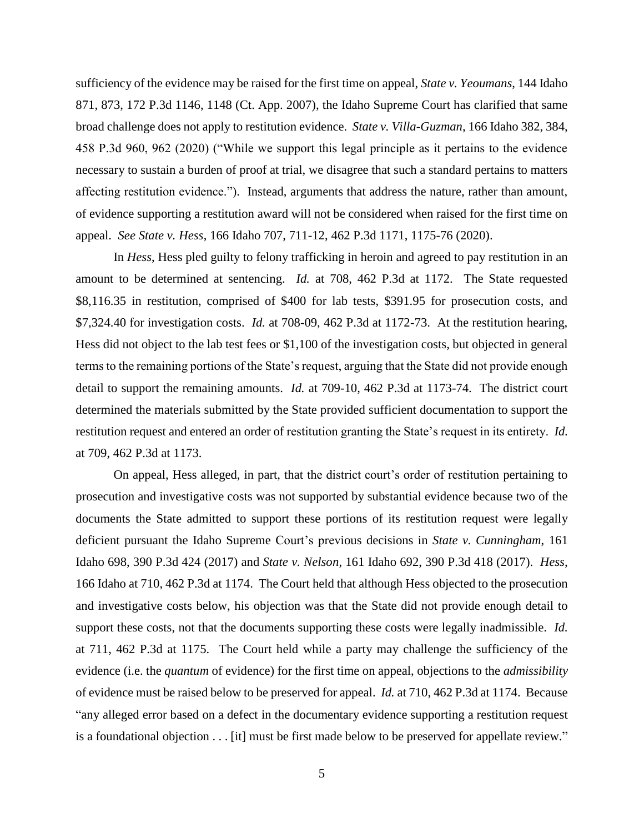sufficiency of the evidence may be raised for the first time on appeal, *State v. Yeoumans*, 144 Idaho 871, 873, 172 P.3d 1146, 1148 (Ct. App. 2007), the Idaho Supreme Court has clarified that same broad challenge does not apply to restitution evidence. *State v. Villa-Guzman*, 166 Idaho 382, 384, 458 P.3d 960, 962 (2020) ("While we support this legal principle as it pertains to the evidence necessary to sustain a burden of proof at trial, we disagree that such a standard pertains to matters affecting restitution evidence."). Instead, arguments that address the nature, rather than amount, of evidence supporting a restitution award will not be considered when raised for the first time on appeal. *See State v. Hess*, 166 Idaho 707, 711-12, 462 P.3d 1171, 1175-76 (2020).

In *Hess*, Hess pled guilty to felony trafficking in heroin and agreed to pay restitution in an amount to be determined at sentencing. *Id.* at 708, 462 P.3d at 1172. The State requested \$8,116.35 in restitution, comprised of \$400 for lab tests, \$391.95 for prosecution costs, and \$7,324.40 for investigation costs. *Id.* at 708-09, 462 P.3d at 1172-73. At the restitution hearing, Hess did not object to the lab test fees or \$1,100 of the investigation costs, but objected in general terms to the remaining portions of the State's request, arguing that the State did not provide enough detail to support the remaining amounts. *Id.* at 709-10, 462 P.3d at 1173-74. The district court determined the materials submitted by the State provided sufficient documentation to support the restitution request and entered an order of restitution granting the State's request in its entirety. *Id.* at 709, 462 P.3d at 1173.

On appeal, Hess alleged, in part, that the district court's order of restitution pertaining to prosecution and investigative costs was not supported by substantial evidence because two of the documents the State admitted to support these portions of its restitution request were legally deficient pursuant the Idaho Supreme Court's previous decisions in *State v. Cunningham*, 161 Idaho 698, 390 P.3d 424 (2017) and *State v. Nelson*, 161 Idaho 692, 390 P.3d 418 (2017). *Hess*, 166 Idaho at 710, 462 P.3d at 1174. The Court held that although Hess objected to the prosecution and investigative costs below, his objection was that the State did not provide enough detail to support these costs, not that the documents supporting these costs were legally inadmissible. *Id.* at 711, 462 P.3d at 1175. The Court held while a party may challenge the sufficiency of the evidence (i.e. the *quantum* of evidence) for the first time on appeal, objections to the *admissibility*  of evidence must be raised below to be preserved for appeal. *Id.* at 710, 462 P.3d at 1174. Because "any alleged error based on a defect in the documentary evidence supporting a restitution request is a foundational objection . . . [it] must be first made below to be preserved for appellate review."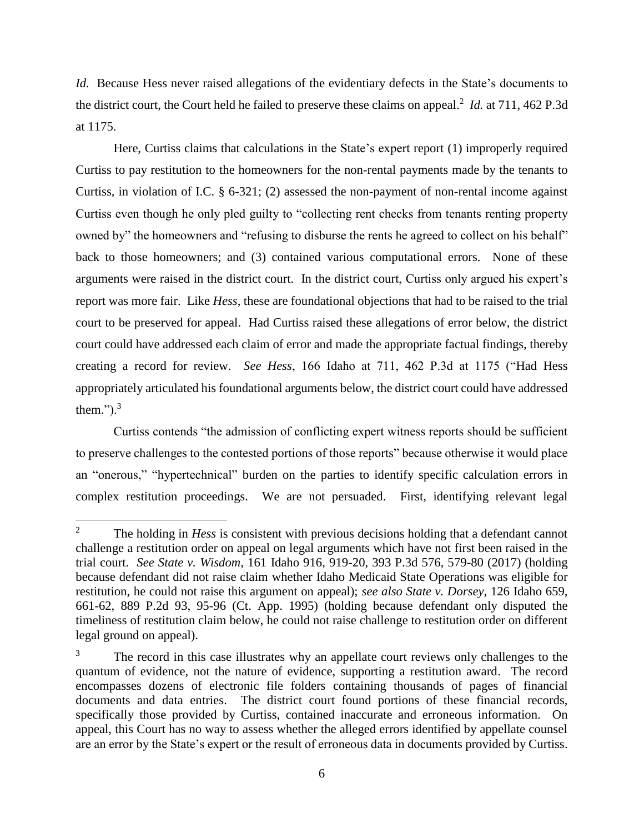*Id.* Because Hess never raised allegations of the evidentiary defects in the State's documents to the district court, the Court held he failed to preserve these claims on appeal.<sup>2</sup> *Id.* at 711, 462 P.3d at 1175.

Here, Curtiss claims that calculations in the State's expert report (1) improperly required Curtiss to pay restitution to the homeowners for the non-rental payments made by the tenants to Curtiss, in violation of I.C. § 6-321; (2) assessed the non-payment of non-rental income against Curtiss even though he only pled guilty to "collecting rent checks from tenants renting property owned by" the homeowners and "refusing to disburse the rents he agreed to collect on his behalf" back to those homeowners; and (3) contained various computational errors. None of these arguments were raised in the district court. In the district court, Curtiss only argued his expert's report was more fair. Like *Hess*, these are foundational objections that had to be raised to the trial court to be preserved for appeal. Had Curtiss raised these allegations of error below, the district court could have addressed each claim of error and made the appropriate factual findings, thereby creating a record for review. *See Hess*, 166 Idaho at 711, 462 P.3d at 1175 ("Had Hess appropriately articulated his foundational arguments below, the district court could have addressed them."). $3$ 

Curtiss contends "the admission of conflicting expert witness reports should be sufficient to preserve challenges to the contested portions of those reports" because otherwise it would place an "onerous," "hypertechnical" burden on the parties to identify specific calculation errors in complex restitution proceedings. We are not persuaded. First, identifying relevant legal

 $\overline{a}$ 

<sup>&</sup>lt;sup>2</sup> The holding in *Hess* is consistent with previous decisions holding that a defendant cannot challenge a restitution order on appeal on legal arguments which have not first been raised in the trial court. *See State v. Wisdom*, 161 Idaho 916, 919-20, 393 P.3d 576, 579-80 (2017) (holding because defendant did not raise claim whether Idaho Medicaid State Operations was eligible for restitution, he could not raise this argument on appeal); *see also State v. Dorsey*, 126 Idaho 659, 661-62, 889 P.2d 93, 95-96 (Ct. App. 1995) (holding because defendant only disputed the timeliness of restitution claim below, he could not raise challenge to restitution order on different legal ground on appeal).

<sup>&</sup>lt;sup>3</sup> The record in this case illustrates why an appellate court reviews only challenges to the quantum of evidence, not the nature of evidence, supporting a restitution award. The record encompasses dozens of electronic file folders containing thousands of pages of financial documents and data entries. The district court found portions of these financial records, specifically those provided by Curtiss, contained inaccurate and erroneous information. On appeal, this Court has no way to assess whether the alleged errors identified by appellate counsel are an error by the State's expert or the result of erroneous data in documents provided by Curtiss.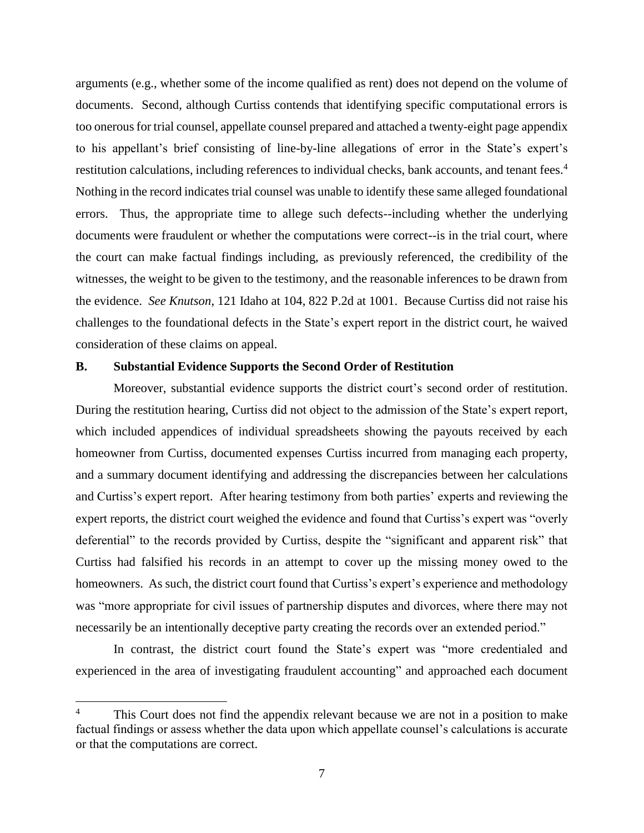arguments (e.g., whether some of the income qualified as rent) does not depend on the volume of documents. Second, although Curtiss contends that identifying specific computational errors is too onerous for trial counsel, appellate counsel prepared and attached a twenty-eight page appendix to his appellant's brief consisting of line-by-line allegations of error in the State's expert's restitution calculations, including references to individual checks, bank accounts, and tenant fees.<sup>4</sup> Nothing in the record indicates trial counsel was unable to identify these same alleged foundational errors. Thus, the appropriate time to allege such defects--including whether the underlying documents were fraudulent or whether the computations were correct--is in the trial court, where the court can make factual findings including, as previously referenced, the credibility of the witnesses, the weight to be given to the testimony, and the reasonable inferences to be drawn from the evidence. *See Knutson*, 121 Idaho at 104, 822 P.2d at 1001. Because Curtiss did not raise his challenges to the foundational defects in the State's expert report in the district court, he waived consideration of these claims on appeal.

### **B. Substantial Evidence Supports the Second Order of Restitution**

Moreover, substantial evidence supports the district court's second order of restitution. During the restitution hearing, Curtiss did not object to the admission of the State's expert report, which included appendices of individual spreadsheets showing the payouts received by each homeowner from Curtiss, documented expenses Curtiss incurred from managing each property, and a summary document identifying and addressing the discrepancies between her calculations and Curtiss's expert report. After hearing testimony from both parties' experts and reviewing the expert reports, the district court weighed the evidence and found that Curtiss's expert was "overly deferential" to the records provided by Curtiss, despite the "significant and apparent risk" that Curtiss had falsified his records in an attempt to cover up the missing money owed to the homeowners. As such, the district court found that Curtiss's expert's experience and methodology was "more appropriate for civil issues of partnership disputes and divorces, where there may not necessarily be an intentionally deceptive party creating the records over an extended period."

In contrast, the district court found the State's expert was "more credentialed and experienced in the area of investigating fraudulent accounting" and approached each document

 $\overline{a}$ 

This Court does not find the appendix relevant because we are not in a position to make factual findings or assess whether the data upon which appellate counsel's calculations is accurate or that the computations are correct.